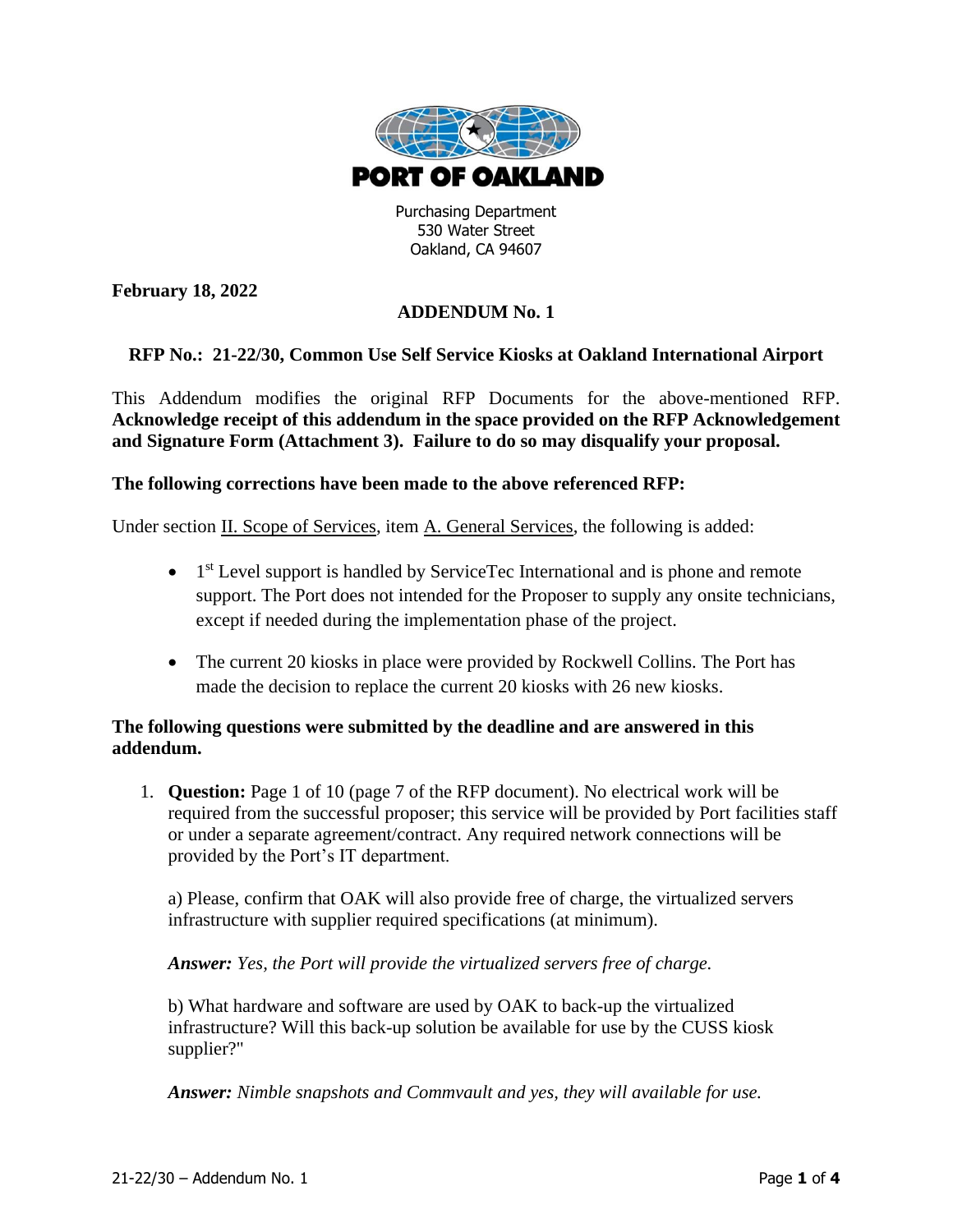

Purchasing Department 530 Water Street Oakland, CA 94607

**February 18, 2022**

## **ADDENDUM No. 1**

## **RFP No.: 21-22/30, Common Use Self Service Kiosks at Oakland International Airport**

This Addendum modifies the original RFP Documents for the above-mentioned RFP. **Acknowledge receipt of this addendum in the space provided on the RFP Acknowledgement and Signature Form (Attachment 3). Failure to do so may disqualify your proposal.**

## **The following corrections have been made to the above referenced RFP:**

Under section II. Scope of Services, item A. General Services, the following is added:

- 1<sup>st</sup> Level support is handled by ServiceTec International and is phone and remote support. The Port does not intended for the Proposer to supply any onsite technicians, except if needed during the implementation phase of the project.
- The current 20 kiosks in place were provided by Rockwell Collins. The Port has made the decision to replace the current 20 kiosks with 26 new kiosks.

## **The following questions were submitted by the deadline and are answered in this addendum.**

1. **Question:** Page 1 of 10 (page 7 of the RFP document). No electrical work will be required from the successful proposer; this service will be provided by Port facilities staff or under a separate agreement/contract. Any required network connections will be provided by the Port's IT department.

a) Please, confirm that OAK will also provide free of charge, the virtualized servers infrastructure with supplier required specifications (at minimum).

*Answer: Yes, the Port will provide the virtualized servers free of charge.*

b) What hardware and software are used by OAK to back-up the virtualized infrastructure? Will this back-up solution be available for use by the CUSS kiosk supplier?"

*Answer: Nimble snapshots and Commvault and yes, they will available for use.*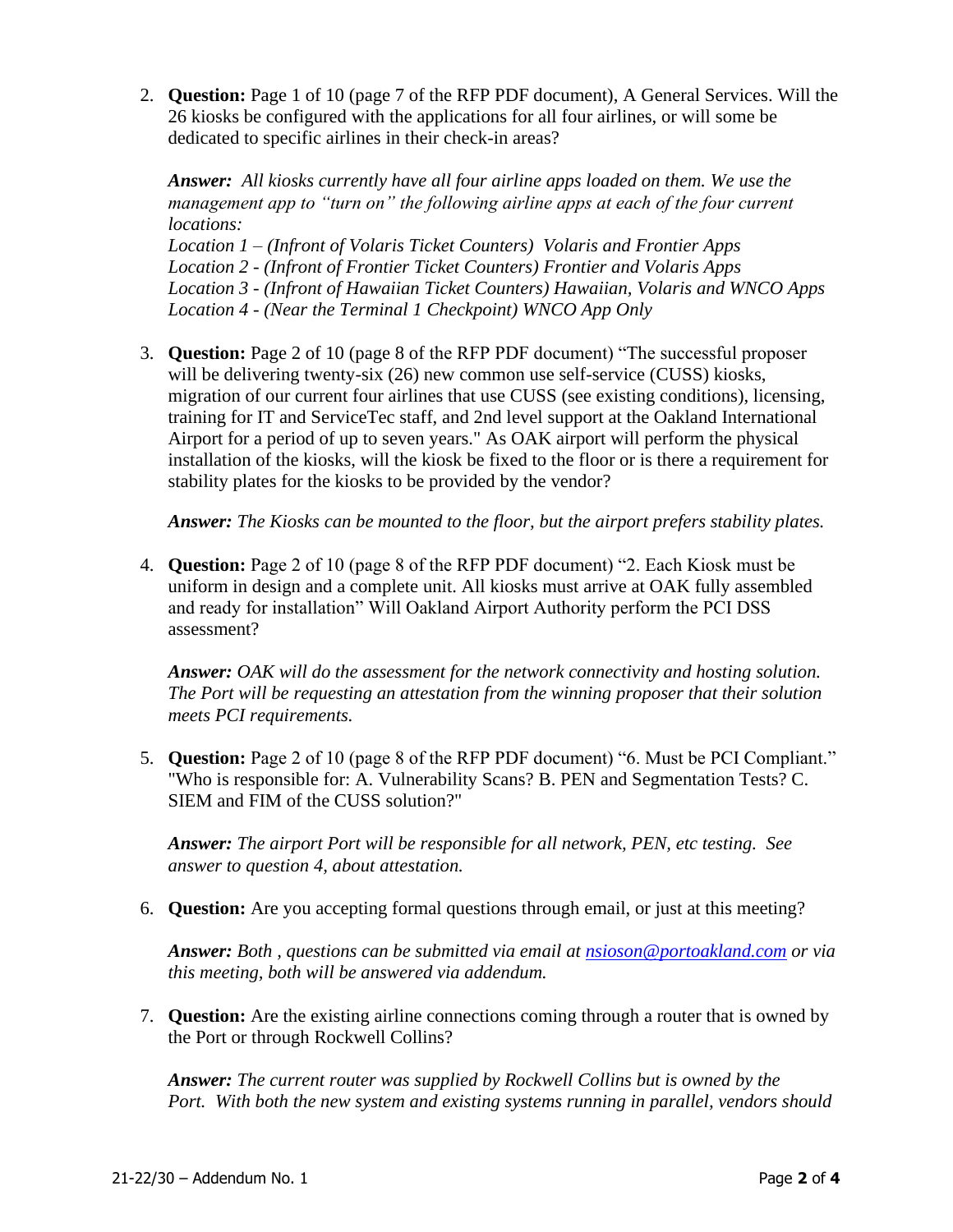2. **Question:** Page 1 of 10 (page 7 of the RFP PDF document), A General Services. Will the 26 kiosks be configured with the applications for all four airlines, or will some be dedicated to specific airlines in their check-in areas?

*Answer: All kiosks currently have all four airline apps loaded on them. We use the management app to "turn on" the following airline apps at each of the four current locations:*

*Location 1 – (Infront of Volaris Ticket Counters) Volaris and Frontier Apps Location 2 - (Infront of Frontier Ticket Counters) Frontier and Volaris Apps Location 3 - (Infront of Hawaiian Ticket Counters) Hawaiian, Volaris and WNCO Apps Location 4 - (Near the Terminal 1 Checkpoint) WNCO App Only*

3. **Question:** Page 2 of 10 (page 8 of the RFP PDF document) "The successful proposer will be delivering twenty-six (26) new common use self-service (CUSS) kiosks, migration of our current four airlines that use CUSS (see existing conditions), licensing, training for IT and ServiceTec staff, and 2nd level support at the Oakland International Airport for a period of up to seven years." As OAK airport will perform the physical installation of the kiosks, will the kiosk be fixed to the floor or is there a requirement for stability plates for the kiosks to be provided by the vendor?

*Answer: The Kiosks can be mounted to the floor, but the airport prefers stability plates.* 

4. **Question:** Page 2 of 10 (page 8 of the RFP PDF document) "2. Each Kiosk must be uniform in design and a complete unit. All kiosks must arrive at OAK fully assembled and ready for installation" Will Oakland Airport Authority perform the PCI DSS assessment?

*Answer: OAK will do the assessment for the network connectivity and hosting solution. The Port will be requesting an attestation from the winning proposer that their solution meets PCI requirements.*

5. **Question:** Page 2 of 10 (page 8 of the RFP PDF document) "6. Must be PCI Compliant." "Who is responsible for: A. Vulnerability Scans? B. PEN and Segmentation Tests? C. SIEM and FIM of the CUSS solution?"

*Answer: The airport Port will be responsible for all network, PEN, etc testing. See answer to question 4, about attestation.*

6. **Question:** Are you accepting formal questions through email, or just at this meeting?

*Answer: Both , questions can be submitted via email at [nsioson@portoakland.com](mailto:nsioson@portoakland.com) or via this meeting, both will be answered via addendum.* 

7. **Question:** Are the existing airline connections coming through a router that is owned by the Port or through Rockwell Collins?

*Answer: The current router was supplied by Rockwell Collins but is owned by the Port. With both the new system and existing systems running in parallel, vendors should*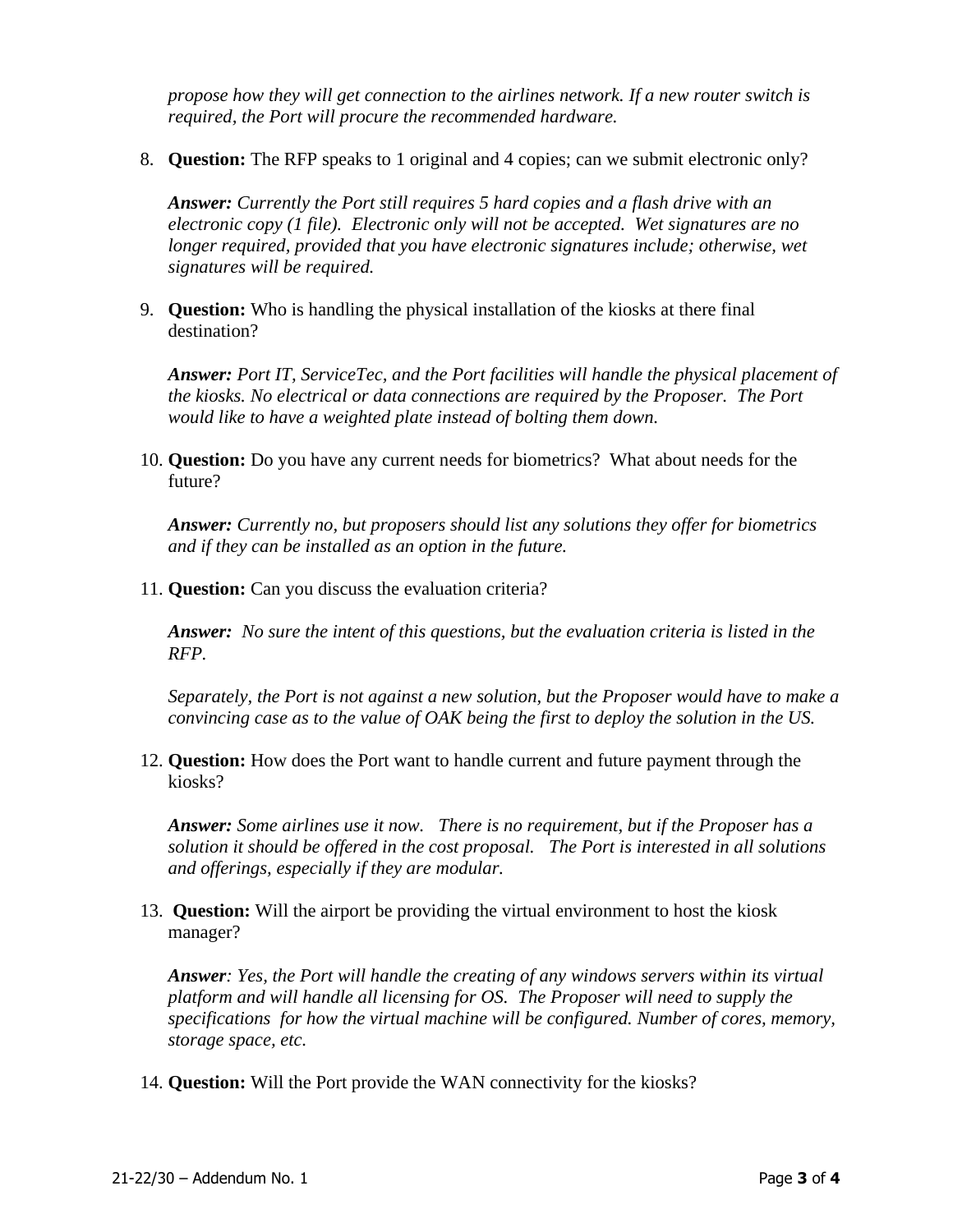*propose how they will get connection to the airlines network. If a new router switch is required, the Port will procure the recommended hardware.* 

8. **Question:** The RFP speaks to 1 original and 4 copies; can we submit electronic only?

*Answer: Currently the Port still requires 5 hard copies and a flash drive with an electronic copy (1 file). Electronic only will not be accepted. Wet signatures are no longer required, provided that you have electronic signatures include; otherwise, wet signatures will be required.*

9. **Question:** Who is handling the physical installation of the kiosks at there final destination?

*Answer: Port IT, ServiceTec, and the Port facilities will handle the physical placement of the kiosks. No electrical or data connections are required by the Proposer. The Port would like to have a weighted plate instead of bolting them down.* 

10. **Question:** Do you have any current needs for biometrics? What about needs for the future?

*Answer: Currently no, but proposers should list any solutions they offer for biometrics and if they can be installed as an option in the future.*

11. **Question:** Can you discuss the evaluation criteria?

*Answer: No sure the intent of this questions, but the evaluation criteria is listed in the RFP.* 

*Separately, the Port is not against a new solution, but the Proposer would have to make a convincing case as to the value of OAK being the first to deploy the solution in the US.* 

12. **Question:** How does the Port want to handle current and future payment through the kiosks?

*Answer: Some airlines use it now. There is no requirement, but if the Proposer has a solution it should be offered in the cost proposal. The Port is interested in all solutions and offerings, especially if they are modular.*

13. **Question:** Will the airport be providing the virtual environment to host the kiosk manager?

*Answer: Yes, the Port will handle the creating of any windows servers within its virtual platform and will handle all licensing for OS. The Proposer will need to supply the specifications for how the virtual machine will be configured. Number of cores, memory, storage space, etc.*

14. **Question:** Will the Port provide the WAN connectivity for the kiosks?